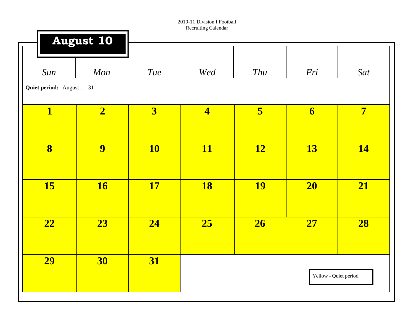|                         | <b>August 10</b>                   |                         |                         |           |                         |                |  |  |  |  |
|-------------------------|------------------------------------|-------------------------|-------------------------|-----------|-------------------------|----------------|--|--|--|--|
| Sun                     | Mon                                | <b>Tue</b>              | Wed                     | Thu       | Fri                     | Sat            |  |  |  |  |
|                         | <b>Quiet period:</b> August 1 - 31 |                         |                         |           |                         |                |  |  |  |  |
| $\mathbf{1}$            | $\overline{\mathbf{2}}$            | $\overline{\mathbf{3}}$ | $\overline{\mathbf{4}}$ | 5         | $\overline{\mathbf{6}}$ | $\overline{7}$ |  |  |  |  |
| $\overline{\mathbf{8}}$ | 9                                  | <b>10</b>               | <b>11</b>               | <b>12</b> | 13                      | <b>14</b>      |  |  |  |  |
| <b>15</b>               | <b>16</b>                          | <b>17</b>               | <b>18</b>               | <b>19</b> | 20                      | 21             |  |  |  |  |
| 22                      | 23                                 | 24                      | 25                      | 26        | 27                      | 28             |  |  |  |  |
| <b>29</b>               | 30                                 | <b>31</b>               |                         |           | Yellow - Quiet period   |                |  |  |  |  |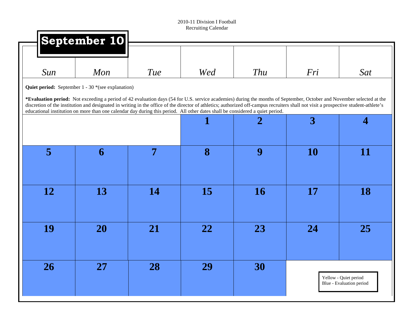| September 10 |            |                                                   |                |                                                                                                                               |                                                                                                                                                                                                                                                                                                                                                               |
|--------------|------------|---------------------------------------------------|----------------|-------------------------------------------------------------------------------------------------------------------------------|---------------------------------------------------------------------------------------------------------------------------------------------------------------------------------------------------------------------------------------------------------------------------------------------------------------------------------------------------------------|
| Mon          | <b>Tue</b> | Wed                                               | Thu            | Fri                                                                                                                           | Sat                                                                                                                                                                                                                                                                                                                                                           |
|              |            |                                                   |                |                                                                                                                               |                                                                                                                                                                                                                                                                                                                                                               |
|              |            |                                                   |                |                                                                                                                               |                                                                                                                                                                                                                                                                                                                                                               |
|              |            | 1                                                 | $\overline{2}$ | 3                                                                                                                             | $\overline{4}$                                                                                                                                                                                                                                                                                                                                                |
| 6            | 7          | 8                                                 | 9              | <b>10</b>                                                                                                                     | 11                                                                                                                                                                                                                                                                                                                                                            |
| 13           | <b>14</b>  | <b>15</b>                                         | <b>16</b>      | <b>17</b>                                                                                                                     | <b>18</b>                                                                                                                                                                                                                                                                                                                                                     |
| 20           | 21         | 22                                                | 23             | 24                                                                                                                            | 25                                                                                                                                                                                                                                                                                                                                                            |
| <b>27</b>    | 28         | 29                                                | 30             |                                                                                                                               | Yellow - Quiet period<br>Blue - Evaluation period                                                                                                                                                                                                                                                                                                             |
|              |            | Quiet period: September 1 - 30 *(see explanation) |                | educational institution on more than one calendar day during this period. All other dates shall be considered a quiet period. | *Evaluation period: Not exceeding a period of 42 evaluation days (54 for U.S. service academies) during the months of September, October and November selected at the<br>discretion of the institution and designated in writing in the office of the director of athletics; authorized off-campus recruiters shall not visit a prospective student-athlete's |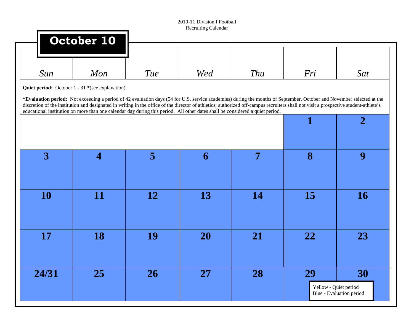|                         | October 10                                                                                                                                                                                                                                                                                                                                                    |     |           |           |                       |                          |
|-------------------------|---------------------------------------------------------------------------------------------------------------------------------------------------------------------------------------------------------------------------------------------------------------------------------------------------------------------------------------------------------------|-----|-----------|-----------|-----------------------|--------------------------|
| Sun                     | Mon                                                                                                                                                                                                                                                                                                                                                           | Tue | Wed       | Thu       | Fri                   | Sat                      |
|                         | Quiet period: October 1 - 31 *(see explanation)                                                                                                                                                                                                                                                                                                               |     |           |           |                       |                          |
|                         | *Evaluation period: Not exceeding a period of 42 evaluation days (54 for U.S. service academies) during the months of September, October and November selected at the<br>discretion of the institution and designated in writing in the office of the director of athletics; authorized off-campus recruiters shall not visit a prospective student-athlete's |     |           |           |                       |                          |
|                         | educational institution on more than one calendar day during this period. All other dates shall be considered a quiet period.                                                                                                                                                                                                                                 |     |           |           |                       |                          |
|                         |                                                                                                                                                                                                                                                                                                                                                               |     |           |           | $\mathbf{1}$          | $\overline{2}$           |
|                         |                                                                                                                                                                                                                                                                                                                                                               |     |           |           |                       |                          |
| $\overline{\mathbf{3}}$ | $\overline{4}$                                                                                                                                                                                                                                                                                                                                                | 5   | 6         | 7         | 8                     | 9                        |
|                         |                                                                                                                                                                                                                                                                                                                                                               |     |           |           |                       |                          |
|                         |                                                                                                                                                                                                                                                                                                                                                               |     |           |           |                       |                          |
| 10                      | 11                                                                                                                                                                                                                                                                                                                                                            | 12  | 13        | <b>14</b> | 15                    | <b>16</b>                |
|                         |                                                                                                                                                                                                                                                                                                                                                               |     |           |           |                       |                          |
|                         |                                                                                                                                                                                                                                                                                                                                                               |     |           |           |                       |                          |
| 17                      | 18                                                                                                                                                                                                                                                                                                                                                            | 19  | 20        | 21        | 22                    | 23                       |
|                         |                                                                                                                                                                                                                                                                                                                                                               |     |           |           |                       |                          |
|                         |                                                                                                                                                                                                                                                                                                                                                               |     |           |           |                       |                          |
| 24/31                   | 25                                                                                                                                                                                                                                                                                                                                                            | 26  | <b>27</b> | 28        | 29                    | 30                       |
|                         |                                                                                                                                                                                                                                                                                                                                                               |     |           |           | Yellow - Quiet period |                          |
|                         |                                                                                                                                                                                                                                                                                                                                                               |     |           |           |                       | Blue - Evaluation period |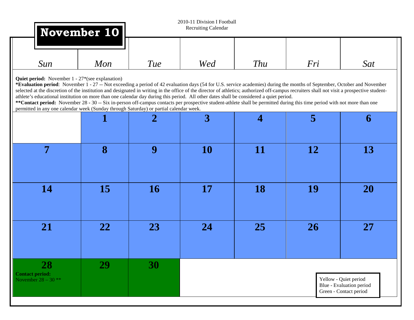|                                                                                                                                                                                                                                                                                                                                                                                                                                                                                                                                                                                                                                                                                                                                                                                                                                                     | November 10 |            | 2010-11 Division I Football<br>Recruiting Calendar |            |           |                                                                             |
|-----------------------------------------------------------------------------------------------------------------------------------------------------------------------------------------------------------------------------------------------------------------------------------------------------------------------------------------------------------------------------------------------------------------------------------------------------------------------------------------------------------------------------------------------------------------------------------------------------------------------------------------------------------------------------------------------------------------------------------------------------------------------------------------------------------------------------------------------------|-------------|------------|----------------------------------------------------|------------|-----------|-----------------------------------------------------------------------------|
| Sun                                                                                                                                                                                                                                                                                                                                                                                                                                                                                                                                                                                                                                                                                                                                                                                                                                                 | Mon         | <b>Tue</b> | Wed                                                | <b>Thu</b> | Fri       | Sat                                                                         |
| <b>Quiet period:</b> November 1 - 27*(see explanation)<br>*Evaluation period: November 1 - 27 -- Not exceeding a period of 42 evaluation days (54 for U.S. service academies) during the months of September, October and November<br>selected at the discretion of the institution and designated in writing in the office of the director of athletics; authorized off-campus recruiters shall not visit a prospective student-<br>athlete's educational institution on more than one calendar day during this period. All other dates shall be considered a quiet period.<br>**Contact period: November 28 - 30 -- Six in-person off-campus contacts per prospective student-athlete shall be permitted during this time period with not more than one<br>permitted in any one calendar week (Sunday through Saturday) or partial calendar week. |             |            |                                                    |            |           |                                                                             |
|                                                                                                                                                                                                                                                                                                                                                                                                                                                                                                                                                                                                                                                                                                                                                                                                                                                     |             | 2          | $\overline{3}$                                     | 4          | 5         | 6                                                                           |
| 7                                                                                                                                                                                                                                                                                                                                                                                                                                                                                                                                                                                                                                                                                                                                                                                                                                                   | 8           | 9          | <b>10</b>                                          | 11         | <b>12</b> | 13                                                                          |
| 14                                                                                                                                                                                                                                                                                                                                                                                                                                                                                                                                                                                                                                                                                                                                                                                                                                                  | 15          | <b>16</b>  | 17                                                 | <b>18</b>  | 19        | <b>20</b>                                                                   |
| 21                                                                                                                                                                                                                                                                                                                                                                                                                                                                                                                                                                                                                                                                                                                                                                                                                                                  | 22          | 23         | 24                                                 | <b>25</b>  | <b>26</b> | 27                                                                          |
| 28<br><b>Contact period:</b><br>November $28 - 30$ **                                                                                                                                                                                                                                                                                                                                                                                                                                                                                                                                                                                                                                                                                                                                                                                               | 29          | 30         |                                                    |            |           | Yellow - Quiet period<br>Blue - Evaluation period<br>Green - Contact period |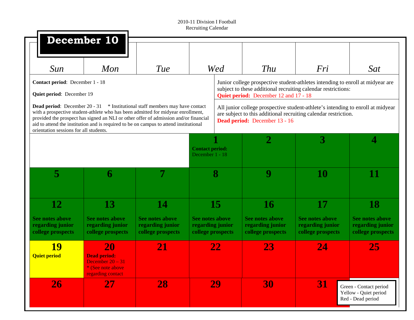| Sun                                                          | Mon                                                                                             | Tue                                                                                                                                                                                                                                                                                                                                                      |                                                                 | Wed | Thu                                                                                                                                                                                      | Fri                                                             | Sat                                                             |
|--------------------------------------------------------------|-------------------------------------------------------------------------------------------------|----------------------------------------------------------------------------------------------------------------------------------------------------------------------------------------------------------------------------------------------------------------------------------------------------------------------------------------------------------|-----------------------------------------------------------------|-----|------------------------------------------------------------------------------------------------------------------------------------------------------------------------------------------|-----------------------------------------------------------------|-----------------------------------------------------------------|
| Contact period: December 1 - 18<br>Quiet period: December 19 |                                                                                                 |                                                                                                                                                                                                                                                                                                                                                          |                                                                 |     | Junior college prospective student-athletes intending to enroll at midyear are<br>subject to these additional recruiting calendar restrictions:<br>Quiet period: December 12 and 17 - 18 |                                                                 |                                                                 |
| orientation sessions for all students.                       |                                                                                                 | <b>Dead period:</b> December 20 - 31 * Institutional staff members may have contact<br>with a prospective student-athlete who has been admitted for midyear enrollment,<br>provided the prospect has signed an NLI or other offer of admission and/or financial<br>aid to attend the institution and is required to be on campus to attend institutional |                                                                 |     | All junior college prospective student-athlete's intending to enroll at midyear<br>are subject to this additional recruiting calendar restriction.<br>Dead period: December 13 - 16      |                                                                 |                                                                 |
|                                                              |                                                                                                 |                                                                                                                                                                                                                                                                                                                                                          | <b>Contact period:</b><br>December 1 - 18                       |     | $\overline{2}$                                                                                                                                                                           | 3                                                               | 4                                                               |
| 5                                                            | 6                                                                                               |                                                                                                                                                                                                                                                                                                                                                          |                                                                 | 8   | 9                                                                                                                                                                                        | <b>10</b>                                                       | 11                                                              |
| 12                                                           | 13                                                                                              | 14                                                                                                                                                                                                                                                                                                                                                       |                                                                 | 15  | <b>16</b>                                                                                                                                                                                | 17                                                              | 18                                                              |
| See notes above<br>regarding junior<br>college prospects     | <b>See notes above</b><br>regarding junior<br>college prospects                                 | <b>See notes above</b><br>regarding junior<br>college prospects                                                                                                                                                                                                                                                                                          | <b>See notes above</b><br>regarding junior<br>college prospects |     | See notes above<br>regarding junior<br>college prospects                                                                                                                                 | <b>See notes above</b><br>regarding junior<br>college prospects | <b>See notes above</b><br>regarding junior<br>college prospects |
| <b>19</b><br><b>Quiet period</b>                             | <b>20</b><br><b>Dead period:</b><br>December $20 - 31$<br>(See note above)<br>regarding contact | 21                                                                                                                                                                                                                                                                                                                                                       |                                                                 | 22  | 23                                                                                                                                                                                       | 24                                                              | 25                                                              |
| 26                                                           | 27                                                                                              | 28                                                                                                                                                                                                                                                                                                                                                       |                                                                 | 29  | 30                                                                                                                                                                                       | 31                                                              | Green - Contact period<br>Yellow - Quiet period                 |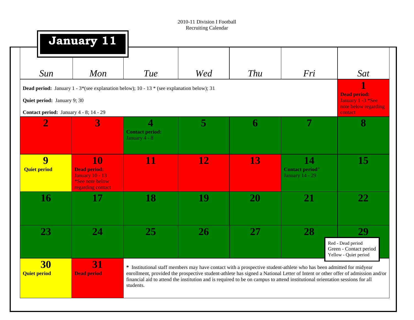|                                  | <b>January 11</b>                                                                                  |                                                                                                                            |           |            |                                                                                                                                                                                                                                                                                                                                                                                       |                                                                      |
|----------------------------------|----------------------------------------------------------------------------------------------------|----------------------------------------------------------------------------------------------------------------------------|-----------|------------|---------------------------------------------------------------------------------------------------------------------------------------------------------------------------------------------------------------------------------------------------------------------------------------------------------------------------------------------------------------------------------------|----------------------------------------------------------------------|
| Sun                              | Mon                                                                                                | Tue                                                                                                                        | Wed       | <b>Thu</b> | Fri                                                                                                                                                                                                                                                                                                                                                                                   | Sat                                                                  |
|                                  |                                                                                                    | <b>Dead period:</b> January $1 - 3$ <sup>*</sup> (see explanation below); 10 - 13 <sup>*</sup> (see explanation below); 31 |           |            |                                                                                                                                                                                                                                                                                                                                                                                       | <b>Dead period:</b>                                                  |
| Quiet period: January 9; 30      |                                                                                                    |                                                                                                                            |           |            |                                                                                                                                                                                                                                                                                                                                                                                       | January 1 -3 *See<br>note below regarding                            |
|                                  | Contact period: January 4 - 8; 14 - 29                                                             |                                                                                                                            |           |            |                                                                                                                                                                                                                                                                                                                                                                                       | contact                                                              |
| $\overline{2}$                   | 3                                                                                                  | $\overline{4}$<br><b>Contact period:</b><br>January 4 - 8                                                                  | 5         | 6          | 7                                                                                                                                                                                                                                                                                                                                                                                     | 8                                                                    |
| 9<br><b>Quiet period</b>         | <b>10</b><br><b>Dead period:</b><br><b>January 10 - 13</b><br>*See note below<br>regarding contact | 11                                                                                                                         | 12        | 13         | 14<br><b>Contact period"</b><br><b>January 14 - 29</b>                                                                                                                                                                                                                                                                                                                                | 15                                                                   |
| <b>16</b>                        | 17                                                                                                 | 18                                                                                                                         | 19        | <b>20</b>  | 21                                                                                                                                                                                                                                                                                                                                                                                    | 22                                                                   |
| 23                               | 24                                                                                                 | <b>25</b>                                                                                                                  | <b>26</b> | 27         | 28                                                                                                                                                                                                                                                                                                                                                                                    | 29                                                                   |
|                                  |                                                                                                    |                                                                                                                            |           |            |                                                                                                                                                                                                                                                                                                                                                                                       | Red - Dead period<br>Green - Contact period<br>Yellow - Quiet period |
| <b>30</b><br><b>Quiet period</b> | <b>31</b><br><b>Dead period</b>                                                                    | students.                                                                                                                  |           |            | * Institutional staff members may have contact with a prospective student-athlete who has been admitted for midyear<br>enrollment, provided the prospective student-athlete has signed a National Letter of Intent or other offer of admission and/or<br>financial aid to attend the institution and is required to be on campus to attend institutional orientation sessions for all |                                                                      |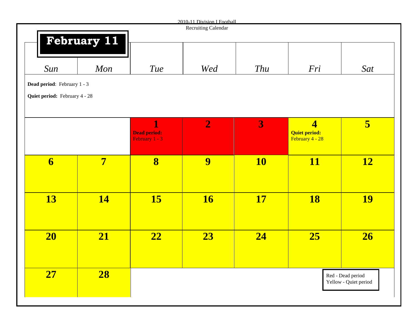|                                      |                         |                                         | 2010-11 Division I Football<br>Recruiting Calendar |           |                                         |                       |
|--------------------------------------|-------------------------|-----------------------------------------|----------------------------------------------------|-----------|-----------------------------------------|-----------------------|
|                                      | <b>February 11</b>      |                                         |                                                    |           |                                         |                       |
|                                      |                         |                                         |                                                    |           |                                         |                       |
|                                      |                         |                                         |                                                    |           |                                         |                       |
| Sun                                  | Mon                     | <b>Tue</b>                              | Wed                                                | Thu       | Fri                                     | Sat                   |
| Dead period: February 1 - 3          |                         |                                         |                                                    |           |                                         |                       |
| <b>Quiet period:</b> February 4 - 28 |                         |                                         |                                                    |           |                                         |                       |
|                                      |                         |                                         |                                                    |           |                                         |                       |
|                                      |                         |                                         |                                                    |           |                                         |                       |
|                                      |                         | 1                                       | $\overline{2}$                                     | 3         | $\overline{\mathbf{4}}$                 | 5                     |
|                                      |                         | <b>Dead period:</b><br>February $1 - 3$ |                                                    |           | <b>Quiet period:</b><br>February 4 - 28 |                       |
|                                      |                         |                                         |                                                    |           |                                         |                       |
| $\overline{\mathbf{6}}$              | $\overline{\mathbf{7}}$ | 8                                       | 9                                                  | <b>10</b> | <b>11</b>                               | <b>12</b>             |
|                                      |                         |                                         |                                                    |           |                                         |                       |
|                                      |                         |                                         |                                                    |           |                                         |                       |
| <b>13</b>                            | <b>14</b>               | <b>15</b>                               | <b>16</b>                                          | <b>17</b> | <b>18</b>                               | <b>19</b>             |
|                                      |                         |                                         |                                                    |           |                                         |                       |
|                                      |                         |                                         |                                                    |           |                                         |                       |
|                                      |                         |                                         |                                                    |           |                                         |                       |
| 20                                   | 21                      | $\overline{22}$                         | 23                                                 | 24        | 25                                      | 26                    |
|                                      |                         |                                         |                                                    |           |                                         |                       |
|                                      |                         |                                         |                                                    |           |                                         |                       |
| 27                                   | 28                      |                                         |                                                    |           |                                         | Red - Dead period     |
|                                      |                         |                                         |                                                    |           |                                         | Yellow - Quiet period |
|                                      |                         |                                         |                                                    |           |                                         |                       |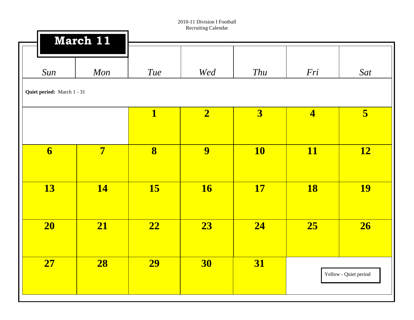| March 11                   |                         |             |                         |                         |                       |
|----------------------------|-------------------------|-------------|-------------------------|-------------------------|-----------------------|
| Mon                        | Tue                     | Wed         | <b>Thu</b>              | Fri                     | Sat                   |
| Quiet period: March 1 - 31 |                         |             |                         |                         |                       |
|                            | $\mathbf{1}$            | $\boxed{2}$ | $\overline{\mathbf{3}}$ | $\overline{\mathbf{4}}$ | 5 <sub>5</sub>        |
| $\overline{7}$             | $\overline{\mathbf{8}}$ | 9           | <b>10</b>               | <b>11</b>               | <b>12</b>             |
| <b>14</b>                  | <b>15</b>               | <b>16</b>   | <b>17</b>               | <b>18</b>               | <b>19</b>             |
| 21                         | $\boxed{22}$            | 23          | 24                      | 25                      | 26                    |
| 28                         | <b>29</b>               | <b>30</b>   | 31                      |                         | Yellow - Quiet period |
|                            |                         |             |                         |                         |                       |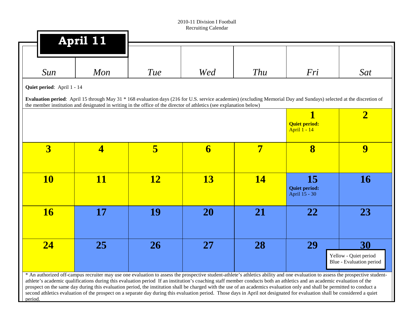| Sun                        | Mon                                                                                                                 | <b>Tue</b> | Wed       | Thu                     | Fri                                                                                                                                                                  | Sat                      |
|----------------------------|---------------------------------------------------------------------------------------------------------------------|------------|-----------|-------------------------|----------------------------------------------------------------------------------------------------------------------------------------------------------------------|--------------------------|
| Quiet period: April 1 - 14 |                                                                                                                     |            |           |                         |                                                                                                                                                                      |                          |
|                            | the member institution and designated in writing in the office of the director of athletics (see explanation below) |            |           |                         | Evaluation period: April 15 through May 31 * 168 evaluation days (216 for U.S. service academies) (excluding Memorial Day and Sundays) selected at the discretion of |                          |
|                            |                                                                                                                     |            |           |                         | 1                                                                                                                                                                    | $\overline{\mathbf{2}}$  |
|                            |                                                                                                                     |            |           |                         | <b>Quiet period:</b><br><b>April 1 - 14</b>                                                                                                                          |                          |
|                            |                                                                                                                     |            |           |                         |                                                                                                                                                                      | 9                        |
| $\overline{\mathbf{3}}$    | $\overline{\mathbf{4}}$                                                                                             | 5          | 6         | $\overline{\mathbf{7}}$ | 8                                                                                                                                                                    |                          |
|                            |                                                                                                                     |            |           |                         |                                                                                                                                                                      |                          |
| <b>10</b>                  | <b>11</b>                                                                                                           | <u>12</u>  | <b>13</b> | <b>14</b>               | <b>15</b><br><b>Quiet period:</b>                                                                                                                                    | <b>16</b>                |
|                            |                                                                                                                     |            |           |                         | April 15 - 30                                                                                                                                                        |                          |
| <b>16</b>                  | 17                                                                                                                  | 19         | <b>20</b> | 21                      | 22                                                                                                                                                                   | 23                       |
|                            |                                                                                                                     |            |           |                         |                                                                                                                                                                      |                          |
| $\overline{24}$            | 25                                                                                                                  | 26         | 27        | 28                      | 29                                                                                                                                                                   | 30                       |
|                            |                                                                                                                     |            |           |                         |                                                                                                                                                                      | Yellow - Quiet period    |
|                            |                                                                                                                     |            |           |                         |                                                                                                                                                                      | Blue - Evaluation period |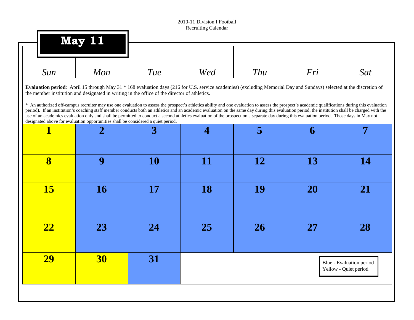| Mon       | Tue       | Wed                                                                               | Thu                                                                                          | Fri       | Sat                                                                                                                                                                                                                                                                                                                                                                                                                                                                                                                                                                                                                                                                                                                                                                          |
|-----------|-----------|-----------------------------------------------------------------------------------|----------------------------------------------------------------------------------------------|-----------|------------------------------------------------------------------------------------------------------------------------------------------------------------------------------------------------------------------------------------------------------------------------------------------------------------------------------------------------------------------------------------------------------------------------------------------------------------------------------------------------------------------------------------------------------------------------------------------------------------------------------------------------------------------------------------------------------------------------------------------------------------------------------|
|           |           |                                                                                   |                                                                                              |           |                                                                                                                                                                                                                                                                                                                                                                                                                                                                                                                                                                                                                                                                                                                                                                              |
| 2         | 3         | 4                                                                                 | 5                                                                                            | 6         | 7                                                                                                                                                                                                                                                                                                                                                                                                                                                                                                                                                                                                                                                                                                                                                                            |
| 9         | <b>10</b> | 11                                                                                | 12                                                                                           | 13        | <b>14</b>                                                                                                                                                                                                                                                                                                                                                                                                                                                                                                                                                                                                                                                                                                                                                                    |
| <b>16</b> | 17        | 18                                                                                | 19                                                                                           | <b>20</b> | 21                                                                                                                                                                                                                                                                                                                                                                                                                                                                                                                                                                                                                                                                                                                                                                           |
| 23        | 24        | 25                                                                                | 26                                                                                           | 27        | 28                                                                                                                                                                                                                                                                                                                                                                                                                                                                                                                                                                                                                                                                                                                                                                           |
| 30        | 31        |                                                                                   |                                                                                              |           | Blue - Evaluation period<br>Yellow - Quiet period                                                                                                                                                                                                                                                                                                                                                                                                                                                                                                                                                                                                                                                                                                                            |
|           |           | designated above for evaluation opportunities shall be considered a quiet period. | the member institution and designated in writing in the office of the director of athletics. |           | Evaluation period: April 15 through May 31 * 168 evaluation days (216 for U.S. service academies) (excluding Memorial Day and Sundays) selected at the discretion of<br>* An authorized off-campus recruiter may use one evaluation to assess the prospect's athletics ability and one evaluation to assess the prospect's academic qualifications during this evaluation<br>period). If an institution's coaching staff member conducts both an athletics and an academic evaluation on the same day during this evaluation period, the institution shall be charged with the<br>use of an academics evaluation only and shall be permitted to conduct a second athletics evaluation of the prospect on a separate day during this evaluation period. Those days in May not |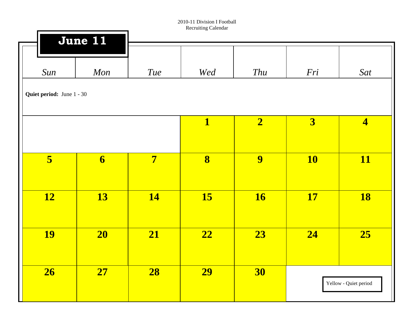|                           | June 11                 |                |                         |                         |                         |                         |
|---------------------------|-------------------------|----------------|-------------------------|-------------------------|-------------------------|-------------------------|
| Sun                       | Mon                     | <b>Tue</b>     | Wed                     | Thu                     | Fri                     | Sat                     |
| Quiet period: June 1 - 30 |                         |                |                         |                         |                         |                         |
|                           |                         |                | $\overline{\mathbf{1}}$ | $\overline{\mathbf{2}}$ | $\overline{\mathbf{3}}$ | $\overline{\mathbf{4}}$ |
| 5                         | $\overline{\mathbf{6}}$ | $\overline{7}$ | $\overline{\mathbf{8}}$ | $\overline{9}$          | <b>10</b>               | <b>11</b>               |
| <b>12</b>                 | <b>13</b>               | <b>14</b>      | <b>15</b>               | <b>16</b>               | <b>17</b>               | <b>18</b>               |
| <b>19</b>                 | <b>20</b>               | 21             | $\overline{22}$         | 23                      | $\overline{24}$         | 25                      |
| 26                        | 27                      | 28             | <b>29</b>               | 30                      |                         | Yellow - Quiet period   |